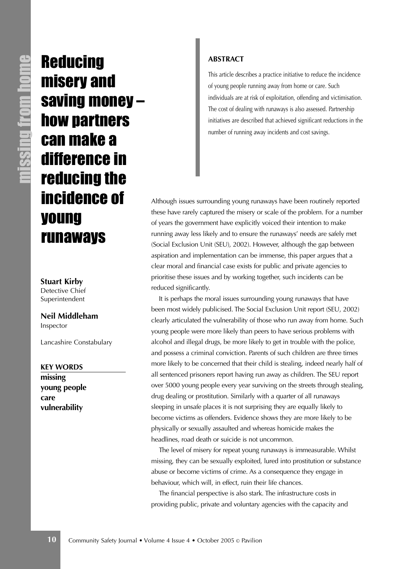**Reducing** misery and saving money – how partners can make a difference in reducing the incidence of young runaways

**Stuart Kirby** Detective Chief Superintendent

**Neil Middleham** Inspector

Lancashire Constabulary

**KEY WORDS**

**missing young people care vulnerability**

#### **ABSTRACT**

This article describes a practice initiative to reduce the incidence of young people running away from home or care. Such individuals are at risk of exploitation, offending and victimisation. The cost of dealing with runaways is also assessed. Partnership initiatives are described that achieved significant reductions in the number of running away incidents and cost savings.

Although issues surrounding young runaways have been routinely reported these have rarely captured the misery or scale of the problem. For a number of years the government have explicitly voiced their intention to make running away less likely and to ensure the runaways' needs are safely met (Social Exclusion Unit (SEU), 2002). However, although the gap between aspiration and implementation can be immense, this paper argues that a clear moral and financial case exists for public and private agencies to prioritise these issues and by working together, such incidents can be reduced significantly.

It is perhaps the moral issues surrounding young runaways that have been most widely publicised. The Social Exclusion Unit report (SEU, 2002) clearly articulated the vulnerability of those who run away from home. Such young people were more likely than peers to have serious problems with alcohol and illegal drugs, be more likely to get in trouble with the police, and possess a criminal conviction. Parents of such children are three times more likely to be concerned that their child is stealing, indeed nearly half of all sentenced prisoners report having run away as children. The SEU report over 5000 young people every year surviving on the streets through stealing, drug dealing or prostitution. Similarly with a quarter of all runaways sleeping in unsafe places it is not surprising they are equally likely to become victims as offenders. Evidence shows they are more likely to be physically or sexually assaulted and whereas homicide makes the headlines, road death or suicide is not uncommon.

The level of misery for repeat young runaways is immeasurable. Whilst missing, they can be sexually exploited, lured into prostitution or substance abuse or become victims of crime. As a consequence they engage in behaviour, which will, in effect, ruin their life chances.

The financial perspective is also stark. The infrastructure costs in providing public, private and voluntary agencies with the capacity and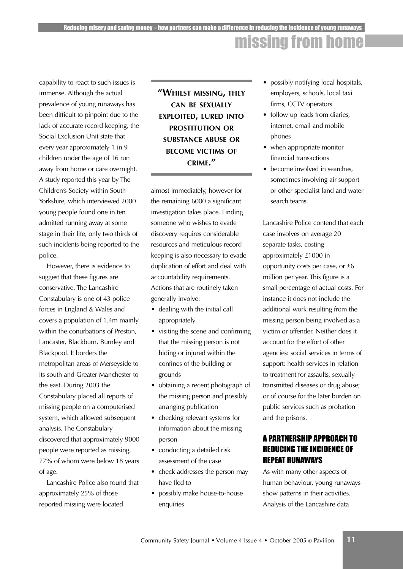## missing from home

capability to react to such issues is immense. Although the actual prevalence of young runaways has been difficult to pinpoint due to the lack of accurate record keeping, the Social Exclusion Unit state that every year approximately 1 in 9 children under the age of 16 run away from home or care overnight. A study reported this year by The Children's Society within South Yorkshire, which interviewed 2000 young people found one in ten admitted running away at some stage in their life, only two thirds of such incidents being reported to the police.

However, there is evidence to suggest that these figures are conservative. The Lancashire Constabulary is one of 43 police forces in England & Wales and covers a population of 1.4m mainly within the conurbations of Preston, Lancaster, Blackburn, Burnley and Blackpool. It borders the metropolitan areas of Merseyside to its south and Greater Manchester to the east. During 2003 the Constabulary placed all reports of missing people on a computerised system, which allowed subsequent analysis. The Constabulary discovered that approximately 9000 people were reported as missing, 77% of whom were below 18 years of age.

Lancashire Police also found that approximately 25% of those reported missing were located

## **"WHILST MISSING, THEY CAN BE SEXUALLY EXPLOITED, LURED INTO PROSTITUTION OR SUBSTANCE ABUSE OR BECOME VICTIMS OF CRIME."**

almost immediately, however for the remaining 6000 a significant investigation takes place. Finding someone who wishes to evade discovery requires considerable resources and meticulous record keeping is also necessary to evade duplication of effort and deal with accountability requirements. Actions that are routinely taken generally involve:

- dealing with the initial call appropriately
- visiting the scene and confirming that the missing person is not hiding or injured within the confines of the building or grounds
- obtaining a recent photograph of the missing person and possibly arranging publication
- checking relevant systems for information about the missing person
- conducting a detailed risk assessment of the case
- check addresses the person may have fled to
- possibly make house-to-house enquiries
- possibly notifying local hospitals, employers, schools, local taxi firms, CCTV operators
- follow up leads from diaries, internet, email and mobile phones
- when appropriate monitor financial transactions
- become involved in searches. sometimes involving air support or other specialist land and water search teams.

Lancashire Police contend that each case involves on average 20 separate tasks, costing approximately £1000 in opportunity costs per case, or £6 million per year. This figure is a small percentage of actual costs. For instance it does not include the additional work resulting from the missing person being involved as a victim or offender. Neither does it account for the effort of other agencies: social services in terms of support; health services in relation to treatment for assaults, sexually transmitted diseases or drug abuse; or of course for the later burden on public services such as probation and the prisons.

### A PARTNERSHIP APPROACH TO REDUCING THE INCIDENCE OF REPEAT RUNAWAYS

As with many other aspects of human behaviour, young runaways show patterns in their activities. Analysis of the Lancashire data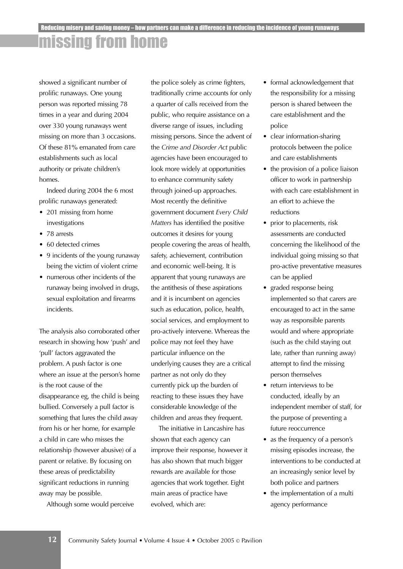# missing from home

showed a significant number of prolific runaways. One young person was reported missing 78 times in a year and during 2004 over 330 young runaways went missing on more than 3 occasions. Of these 81% emanated from care establishments such as local authority or private children's homes.

Indeed during 2004 the 6 most prolific runaways generated:

- 201 missing from home investigations
- 78 arrests
- 60 detected crimes
- 9 incidents of the young runaway being the victim of violent crime
- numerous other incidents of the runaway being involved in drugs, sexual exploitation and firearms incidents.

The analysis also corroborated other research in showing how 'push' and 'pull' factors aggravated the problem. A push factor is one where an issue at the person's home is the root cause of the disappearance eg, the child is being bullied. Conversely a pull factor is something that lures the child away from his or her home, for example a child in care who misses the relationship (however abusive) of a parent or relative. By focusing on these areas of predictability significant reductions in running away may be possible.

Although some would perceive

the police solely as crime fighters, traditionally crime accounts for only a quarter of calls received from the public, who require assistance on a diverse range of issues, including missing persons. Since the advent of the *Crime and Disorder Act* public agencies have been encouraged to look more widely at opportunities to enhance community safety through joined-up approaches. Most recently the definitive government document *Every Child Matters* has identified the positive outcomes it desires for young people covering the areas of health, safety, achievement, contribution and economic well-being. It is apparent that young runaways are the antithesis of these aspirations and it is incumbent on agencies such as education, police, health, social services, and employment to pro-actively intervene. Whereas the police may not feel they have particular influence on the underlying causes they are a critical partner as not only do they currently pick up the burden of reacting to these issues they have considerable knowledge of the children and areas they frequent.

The initiative in Lancashire has shown that each agency can improve their response, however it has also shown that much bigger rewards are available for those agencies that work together. Eight main areas of practice have evolved, which are:

- formal acknowledgement that the responsibility for a missing person is shared between the care establishment and the police
- clear information-sharing protocols between the police and care establishments
- the provision of a police liaison officer to work in partnership with each care establishment in an effort to achieve the reductions
- prior to placements, risk assessments are conducted concerning the likelihood of the individual going missing so that pro-active preventative measures can be applied
- graded response being implemented so that carers are encouraged to act in the same way as responsible parents would and where appropriate (such as the child staying out late, rather than running away) attempt to find the missing person themselves
- return interviews to be conducted, ideally by an independent member of staff, for the purpose of preventing a future reoccurrence
- as the frequency of a person's missing episodes increase, the interventions to be conducted at an increasingly senior level by both police and partners
- the implementation of a multi agency performance